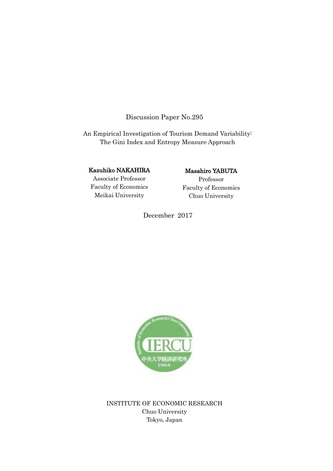# Discussion Paper No.295

An Empirical Investigation of Tourism Demand Variability: The Gini Index and Entropy Measure Approach

## Kazuhiko NAKAHIRA

## Masahiro YABUTA

Associate Professor Faculty of Economics Meikai University

Professor Faculty of Economics Chuo University

December 2017



INSTITUTE OF ECONOMIC RESEARCH Chuo University Tokyo, Japan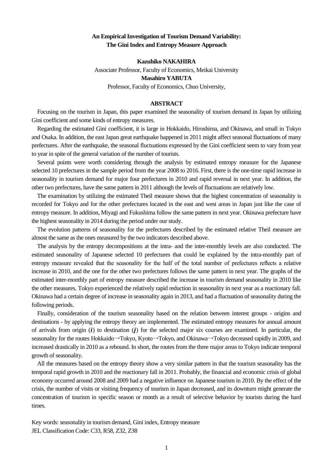## **An Empirical Investigation of Tourism Demand Variability: The Gini Index and Entropy Measure Approach**

**Kazuhiko NAKAHIRA** Associate Professor, Faculty of Economics, Meikai University **Masahiro YABUTA** Professor, Faculty of Economics, Chuo University,

#### **ABSTRACT**

 Focusing on the tourism in Japan, this paper examined the seasonality of tourism demand in Japan by utilizing Gini coefficient and some kinds of entropy measures.

 Regarding the estimated Gini coefficient, it is large in Hokkaido, Hiroshima, and Okinawa, and small in Tokyo and Osaka. In addition, the east Japan great earthquake happened in 2011 might affect seasonal fluctuations of many prefectures. After the earthquake, the seasonal fluctuations expressed by the Gini coefficient seem to vary from year to year in spite of the general variation of the number of tourists.

 Several points were worth considering through the analysis by estimated entropy measure for the Japanese selected 10 prefectures in the sample period from the year 2008 to 2016. First, there is the one-time rapid increase in seasonality in tourism demand for major four prefectures in 2010 and rapid reversal in next year. In addition, the other two prefectures, have the same pattern in 2011 although the levels of fluctuations are relatively low.

 The examination by utilizing the estimated Theil measure shows that the highest concentration of seasonality is recorded for Tokyo and for the other prefectures located in the east and west areas in Japan just like the case of entropy measure. In addition, Miyagi and Fukushima follow the same pattern in next year. Okinawa prefecture have the highest seasonality in 2014 during the period under our study.

 The evolution patterns of seasonality for the prefectures described by the estimated relative Theil measure are almost the same as the ones measured by the two indicators described above.

 The analysis by the entropy decompositions at the intra- and the inter-monthly levels are also conducted. The estimated seasonality of Japanese selected 10 prefectures that could be explained by the intra-monthly part of entropy measure revealed that the seasonality for the half of the total number of prefectures reflects a relative increase in 2010, and the one for the other two prefectures follows the same pattern in next year. The graphs of the estimated inter-monthly part of entropy measure described the increase in tourism demand seasonality in 2010 like the other measures. Tokyo experienced the relatively rapid reduction in seasonality in next year as a reactionary fall. Okinawa had a certain degree of increase in seasonality again in 2013, and had a fluctuation of seasonality during the following periods.

 Finally, consideration of the tourism seasonality based on the relation between interest groups - origins and destinations - by applying the entropy theory are implemented. The estimated entropy measures for annual amount of arrivals from origin  $(i)$  to destination  $(j)$  for the selected major six courses are examined. In particular, the seasonality for the routes Hokkaido→Tokyo, Kyoto→Tokyo, and Okinawa→Tokyo decreased rapidly in 2009, and increased drastically in 2010 as a rebound. In short, the routes from the three major areas to Tokyo indicate temporal growth of seasonality.

 All the measures based on the entropy theory show a very similar pattern in that the tourism seasonality has the temporal rapid growth in 2010 and the reactionary fall in 2011. Probably, the financial and economic crisis of global economy occurred around 2008 and 2009 had a negative influence on Japanese tourism in 2010. By the effect of the crisis, the number of visits or visiting frequency of tourism in Japan decreased, and its downturn might generate the concentration of tourism in specific season or month as a result of selective behavior by tourists during the hard times.

Key words: seasonality in tourism demand, Gini index, Entropy measure JEL Classification Code: C33, R58, Z32, Z38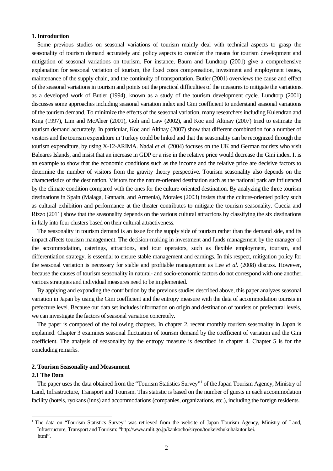#### **1. Introduction**

 Some previous studies on seasonal variations of tourism mainly deal with technical aspects to grasp the seasonality of tourism demand accurately and policy aspects to consider the means for tourism development and mitigation of seasonal variations on tourism. For instance, Baum and Lundtorp (2001) give a comprehensive explanation for seasonal variation of tourism, the fixed costs compensation, investment and employment issues, maintenance of the supply chain, and the continuity of transportation. Butler (2001) overviews the cause and effect of the seasonal variations in tourism and points out the practical difficulties of the measures to mitigate the variations. as a developed work of Butler (1994), known as a study of the tourism development cycle. Lundtorp (2001) discusses some approaches including seasonal variation index and Gini coefficient to understand seasonal variations of the tourism demand. To minimize the effects of the seasonal variation, many researchers including Kulendran and King (1997), Lim and McAleer (2001), Goh and Law (2002), and Koc and Altinay (2007) tried to estimate the tourism demand accurately. In particular, Koc and Altinay (2007) show that different combination for a number of visitors and the tourism expenditure in Turkey could be linked and that the seasonality can be recognized through the tourism expenditure, by using X-12-ARIMA. Nadal *et al*. (2004) focuses on the UK and German tourists who visit Baleares Islands, and insist that an increase in GDP or a rise in the relative price would decrease the Gini index. It is an example to show that the economic conditions such as the income and the relative price are decisive factors to determine the number of visitors from the gravity theory perspective. Tourism seasonality also depends on the characteristics of the destination. Visitors for the nature-oriented destination such as the national park are influenced by the climate condition compared with the ones for the culture-oriented destination. By analyzing the three tourism destinations in Spain (Malaga, Granada, and Armenia), Morales (2003) insists that the culture-oriented policy such as cultural exhibition and performance at the theater contributes to mitigate the tourism seasonality. Cuccia and Rizzo (2011) show that the seasonality depends on the various cultural attractions by classifying the six destinations in Italy into four clusters based on their cultural attractiveness.

 The seasonality in tourism demand is an issue for the supply side of tourism rather than the demand side, and its impact affects tourism management. The decision-making in investment and funds management by the manager of the accommodation, caterings, attractions, and tour operators, such as flexible employment, tourism, and differentiation strategy, is essential to ensure stable management and earnings. In this respect, mitigation policy for the seasonal variation is necessary for stable and profitable management as Lee *et al.* (2008) discuss. However, because the causes of tourism seasonality in natural- and socio-economic factors do not correspond with one another, various strategies and individual measures need to be implemented.

 By applying and expanding the contribution by the previous studies described above, this paper analyzes seasonal variation in Japan by using the Gini coefficient and the entropy measure with the data of accommodation tourists in prefecture level. Because our data set includes information on origin and destination of tourists on prefectural levels, we can investigate the factors of seasonal variation concretely.

 The paper is composed of the following chapters. In chapter 2, recent monthly tourism seasonality in Japan is explained. Chapter 3 examines seasonal fluctuation of tourism demand by the coefficient of variation and the Gini coefficient. The analysis of seasonality by the entropy measure is described in chapter 4. Chapter 5 is for the concluding remarks.

#### **2. Tourism Seasonality and Measument**

### **2.1 The Data**

The paper uses the data obtained from the "Tourism Statistics Survey["1](#page-2-0) of the Japan Tourism Agency, Ministry of Land, Infrastructure, Transport and Tourism. This statistic is based on the number of guests in each accommodation facility (hotels, ryokans (inns) and accommodations (companies, organizations, etc.), including the foreign residents.

<span id="page-2-0"></span><sup>&</sup>lt;sup>1</sup> The data on "Tourism Statistics Survey" was retrieved from the website of Japan Tourism Agency, Ministry of Land, Infrastructure, Transport and Tourism: "http://www.mlit.go.jp/kankocho/siryou/toukei/shukuhakutoukei. html".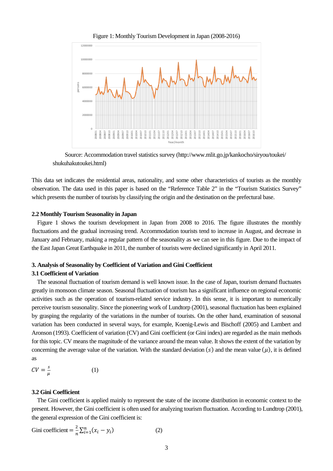Figure 1: Monthly Tourism Development in Japan (2008-2016)



Source: Accommodation travel statistics survey (http://www.mlit.go.jp/kankocho/siryou/toukei/ shukuhakutoukei.html)

This data set indicates the residential areas, nationality, and some other characteristics of tourists as the monthly observation. The data used in this paper is based on the "Reference Table 2" in the "Tourism Statistics Survey" which presents the number of tourists by classifying the origin and the destination on the prefectural base.

## **2.2 Monthly Tourism Seasonality in Japan**

 Figure 1 shows the tourism development in Japan from 2008 to 2016. The figure illustrates the monthly fluctuations and the gradual increasing trend. Accommodation tourists tend to increase in August, and decrease in January and February, making a regular pattern of the seasonality as we can see in this figure. Due to the impact of the East Japan Great Earthquake in 2011, the number of tourists were declined significantly in April 2011.

## **3. Analysis of Seasonality by Coefficient of Variation and Gini Coefficient**

#### **3.1 Coefficient of Variation**

The seasonal fluctuation of tourism demand is well known issue. In the case of Japan, tourism demand fluctuates greatly in monsoon climate season. Seasonal fluctuation of tourism has a significant influence on regional economic activities such as the operation of tourism-related service industry. In this sense, it is important to numerically perceive tourism seasonality. Since the pioneering work of Lundtorp (2001), seasonal fluctuation has been explained by grasping the regularity of the variations in the number of tourists. On the other hand, examination of seasonal variation has been conducted in several ways, for example, Koenig-Lewis and Bischoff (2005) and Lambert and Aronson (1993). Coefficient of variation (CV) and Gini coefficient (or Gini index) are regarded as the main methods for this topic. CV means the magnitude of the variance around the mean value. It shows the extent of the variation by concerning the average value of the variation. With the standard deviation (s) and the mean value  $(\mu)$ , it is defined as

$$
CV = \frac{s}{\mu} \tag{1}
$$

## **3.2 Gini Coefficient**

 The Gini coefficient is applied mainly to represent the state of the income distribution in economic context to the present. However, the Gini coefficient is often used for analyzing tourism fluctuation. According to Lundtrop (2001), the general expression of the Gini coefficient is:

Gini coefficient = 
$$
\frac{2}{n} \sum_{i=1}^{n} (x_i - y_i)
$$
 (2)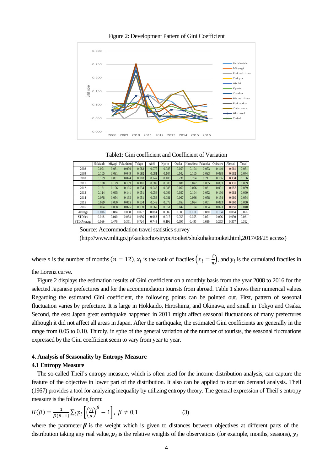

Figure 2: Development Pattern of Gini Coefficient

Table1: Gini coefficient and Coefficient of Variation

|             | Hokkaido | Miyagi | Fukushima | Tokvo | Aichi | Kyoto | Osaka | Hiroshima | Fukuoka | Okinawa | Abroad | Total |
|-------------|----------|--------|-----------|-------|-------|-------|-------|-----------|---------|---------|--------|-------|
| 2008        | 0.091    | 0.061  | 0.099     | 0.083 | 0.077 | 0.083 | 0.059 | 0.104     | 0.073   | 0.110   | 0.081  | 0.061 |
| 2009        | 0.105    | 0.081  | 0.049     | 0.092 | 0.081 | 0.104 | 0.102 | 0.105     | 0.093   | 0.088   | 0.082  | 0.074 |
| 2010        | 0.109    | 0.091  | 0.074     | 0.210 | 0.247 | 0.106 | 0.231 | 0.254     | 0.211   | 0.106   | 0.134  | 0.106 |
| 2011        | 0.138    | 0.179  | 0.139     | 0.101 | 0.089 | 0.088 | 0.081 | 0.072     | 0.055   | 0.093   | 0.131  | 0.089 |
| 2012        | 0.121    | 0.106  | 0.105     | 0.034 | 0.043 | 0.085 | 0.060 | 0.076     | 0.061   | 0.091   | 0.057  | 0.059 |
| 2013        | 0.114    | 0.065  | 0.141     | 0.051 | 0.058 | 0.096 | 0.057 | 0.104     | 0.052   | 0.136   | 0.082  | 0.060 |
| 2014        | 0.078    | 0.054  | 0.135     | 0.051 | 0.053 | 0.081 | 0.067 | 0.086     | 0.058   | 0.154   | 0.080  | 0.054 |
| 2015        | 0.099    | 0.060  | 0.065     | 0.034 | 0.049 | 0.073 | 0.053 | 0.094     | 0.061   | 0.083   | 0.060  | 0.050 |
| 2016        | 0.094    | 0.058  | 0.075     | 0.039 | 0.062 | 0.051 | 0.042 | 0.104     | 0.054   | 0.073   | 0.050  | 0.040 |
| Average     | 0.106    | 0.084  | 0.098     | 0.077 | 0.084 | 0.085 | 0.083 | 0.111     | 0.080   | 0.104   | 0.084  | 0.066 |
| STDdev      | 0.018    | 0.040  | 0.034     | 0.056 | 0.063 | 0.017 | 0.058 | 0.055     | 0.051   | 0.026   | 0.030  | 0.021 |
| STD/Average | 0.169    | 0.476  | 0.351     | 0.724 | 0.743 | 0.196 | 0.695 | 0.495     | 0.636   | 0.253   | 0.357  | 0.312 |

Source: Accommodation travel statistics survey

(http://www.mlit.go.jp/kankocho/siryou/toukei/shukuhakutoukei.html,2017/08/25 access)

where *n* is the number of months ( $n = 12$ ),  $x_i$  is the rank of fractiles  $\left(x_i = \frac{i}{n}\right)$ , and  $y_i$  is the cumulated fractiles in

the Lorenz curve.

 Figure 2 displays the estimation results of Gini coefficient on a monthly basis from the year 2008 to 2016 for the selected Japanese prefectures and for the accommodation tourists from abroad. Table 1 shows their numerical values. Regarding the estimated Gini coefficient, the following points can be pointed out. First, pattern of seasonal fluctuation varies by prefecture. It is large in Hokkaido, Hiroshima, and Okinawa, and small in Tokyo and Osaka. Second, the east Japan great earthquake happened in 2011 might affect seasonal fluctuations of many prefectures although it did not affect all areas in Japan. After the earthquake, the estimated Gini coefficients are generally in the range from 0.05 to 0.10. Thirdly, in spite of the general variation of the number of tourists, the seasonal fluctuations expressed by the Gini coefficient seem to vary from year to year.

## **4. Analysis of Seasonality by Entropy Measure**

#### **4.1 Entropy Measure**

 The so-called Theil's entropy measure, which is often used for the income distribution analysis, can capture the feature of the objective in lower part of the distribution. It also can be applied to tourism demand analysis. Theil (1967) provides a tool for analyzing inequality by utilizing entropy theory. The general expression of Theil's entropy measure is the following form:

$$
H(\beta) = \frac{1}{\beta(\beta - 1)} \sum_{i} p_i \left[ \left( \frac{y_i}{\mu} \right)^{\beta} - 1 \right], \ \beta \neq 0, 1 \tag{3}
$$

where the parameter  $\beta$  is the weight which is given to distances between objectives at different parts of the distribution taking any real value,  $p_i$  is the relative weights of the observations (for example, months, seasons),  $y_i$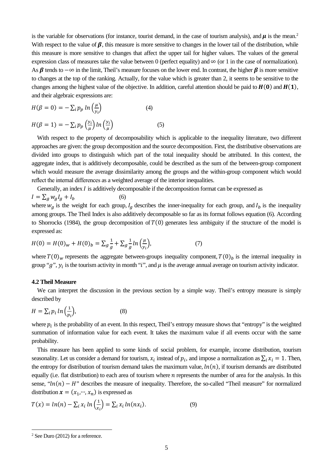is the variable for observations (for instance, tourist demand, in the case of tourism analysis), and  $\mu$  is the mean.<sup>2</sup> With respect to the value of  $\beta$ , this measure is more sensitive to changes in the lower tail of the distribution, while this measure is more sensitive to changes that affect the upper tail for higher values. The values of the general expression class of measures take the value between 0 (perfect equality) and  $\infty$  (or 1 in the case of normalization). As  $\beta$  tends to  $-\infty$  in the limit, Theil's measure focuses on the lower end. In contrast, the higher  $\beta$  is more sensitive to changes at the top of the ranking. Actually, for the value which is greater than 2, it seems to be sensitive to the changes among the highest value of the objective. In addition, careful attention should be paid to  $H(0)$  and  $H(1)$ , and their algebraic expressions are:

$$
H(\beta = 0) = -\sum_{i} p_{p} \ln \left(\frac{\mu}{y_{i}}\right)
$$
\n
$$
H(\beta = 1) = -\sum_{i} p_{p} \left(\frac{y_{i}}{\mu}\right) \ln \left(\frac{y_{i}}{\mu}\right)
$$
\n(5)

 With respect to the property of decomposability which is applicable to the inequality literature, two different approaches are given: the group decomposition and the source decomposition. First, the distributive observations are divided into groups to distinguish which part of the total inequality should be attributed. In this context, the aggregate index, that is additively decomposable, could be described as the sum of the between-group component which would measure the average dissimilarity among the groups and the within-group component which would reflect the internal differences as a weighted average of the interior inequalities.

Generally, an index  $I$  is additively decomposable if the decomposition format can be expressed as  $I = \sum_{g} w_{g} I_{g} + I_{b}$  (6) where  $w_a$  is the weight for each group,  $I_a$  describes the inner-inequality for each group, and  $I_b$  is the inequality among groups. The Theil Index is also additively decomposable so far as its format follows equation (6). According to Shorrocks (1984), the group decomposition of  $T(0)$  generates less ambiguity if the structure of the model is expressed as:

$$
H(0) = H(0)_w + H(0)_b = \sum_g \frac{1}{g} + \sum_g \frac{1}{g} \ln \left( \frac{\mu}{y_i} \right),\tag{7}
$$

where  $T(0)_w$  represents the aggregate between-groups inequality component,  $T(0)_b$  is the internal inequality in group " $g$ ",  $y_i$  is the tourism activity in month "i", and  $\mu$  is the average annual average on tourism activity indicator.

#### **4.2 Theil Measure**

We can interpret the discussion in the previous section by a simple way. Theil's entropy measure is simply described by

$$
H = \sum_{i} p_i \ln \left(\frac{1}{p_i}\right),\tag{8}
$$

where  $p_i$  is the probability of an event. In this respect, Theil's entropy measure shows that "entropy" is the weighted summation of information value for each event. It takes the maximum value if all events occur with the same probability.

 This measure has been applied to some kinds of social problem, for example, income distribution, tourism seasonality. Let us consider a demand for tourism,  $x_i$  instead of  $p_i$ , and impose a normalization as  $\sum_i x_i = 1$ . Then, the entropy for distribution of tourism demand takes the maximum value,  $ln(n)$ , if tourism demands are distributed equally (i.e. flat distribution) to each area of tourism where  $n$  represents the number of area for the analysis. In this sense, " $ln(n) - H$ " describes the measure of inequality. Therefore, the so-called "Theil measure" for normalized distribution  $x = (x_1, \dots, x_n)$  is expressed as

$$
T(x) = \ln(n) - \sum_{i} x_i \ln\left(\frac{1}{x_i}\right) = \sum_{i} x_i \ln(nx_i). \tag{9}
$$

<span id="page-5-0"></span> <sup>2</sup> See Duro (2012) for a reference.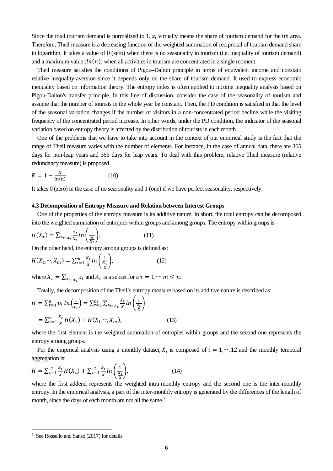Since the total tourism demand is normalized to 1,  $x_i$  virtually means the share of tourism demand for the *i*th area. Therefore, Theil measure is a decreasing function of the weighted summation of reciprocal of tourism demand share in logarithm. It takes a value of 0 (zero) when there is no seasonality in tourism (i.e. inequality of tourism demand) and a maximum value  $(ln(n))$  when all activities in tourism are concentrated in a single moment.

 Theil measure satisfies the conditions of Pigou–Dalton principle in terms of equivalent income and constant relative inequality-aversion since it depends only on the share of tourism demand. It used to express economic inequality based on information theory. The entropy index is often applied to income inequality analysis based on Pigou-Dalton's transfer principle. In this line of discussion, consider the case of the seasonality of tourism and assume that the number of tourists in the whole year be constant. Then, the PD condition is satisfied in that the level of the seasonal variation changes if the number of visitors in a non-concentrated period decline while the visiting frequency of the concentrated period increase. In other words, under the PD condition, the indicator of the seasonal variation based on entropy theory is affected by the distribution of tourists in each month.

 One of the problems that we have to take into account in the context of our empirical study is the fact that the range of Theil measure varies with the number of elements. For instance, in the case of annual data, there are 365 days for non-leap years and 366 days for leap years. To deal with this problem, relative Theil measure (relative redundancy measure) is proposed.

$$
R = 1 - \frac{H}{\ln(n)}\tag{10}
$$

It takes 0 (zero) in the case of no seasonality and 1 (one) if we have perfect seasonality, respectively.

## **4.3 Decomposition of Entropy Measure and Relation between Interest Groups**

 One of the properties of the entropy measure is its additive nature. In short, the total entropy can be decomposed into the weighted summation of entropies within groups and among groups. The entropy within groups is

$$
H(X_{\tau}) = \sum_{x_{t \in A_{\tau}}} \frac{x_{t}}{x_{\tau}} ln\left(\frac{1}{\frac{x_{t}}{x_{\tau}}}\right).
$$
 (11)

On the other hand, the entropy among groups is defined as:

$$
H(X_1, \cdots, X_m) = \sum_{\tau=1}^m \frac{X_\tau}{X} \ln\left(\frac{1}{\frac{X_\tau}{X}}\right),\tag{12}
$$

where  $X_{\tau} = \sum_{x_{t \in A_{\tau}}} x_t$  and  $A_{\tau}$  is a subset for a  $\tau = 1, \dots \in \mathbb{R}$ .

Totally, the decomposition of the Theil's entropy measure based on its additive nature is described as:

$$
H = \sum_{t=1}^{n} p_t \ln\left(\frac{1}{p_t}\right) = \sum_{\tau=1}^{m} \sum_{x_{t \in A_{\tau}}} \frac{x_{\tau}}{X} \ln\left(\frac{1}{\frac{x_t}{X}}\right)
$$

$$
= \sum_{\tau=1}^{n} \frac{x_{\tau}}{X} H(X_{\tau}) + H(X_1, \cdots, X_m), \tag{13}
$$

where the first element is the weighted summation of entropies within groups and the second one represents the entropy among groups.

For the empirical analysis using a monthly dataset,  $X_{\tau}$  is composed of  $\tau = 1, \dots, 12$  and the monthly temporal aggregation is:

$$
H = \sum_{\tau=1}^{12} \frac{X_{\tau}}{X} H(X_{\tau}) + \sum_{\tau=1}^{12} \frac{X_{\tau}}{X} ln\left(\frac{1}{\frac{X_{\tau}}{X}}\right),
$$
 (14)

where the first addend represents the weighted intra-monthly entropy and the second one is the inter-monthly entropy. In the empirical analysis, a part of the inter-monthly entropy is generated by the differences of the length of month, since the days of each month are not all the same.<sup>3</sup>

<span id="page-6-0"></span> $\frac{1}{3}$ <sup>3</sup> See Rossello and Sanso (2017) for details.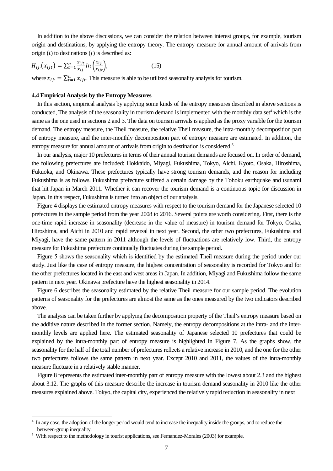In addition to the above discussions, we can consider the relation between interest groups, for example, tourism origin and destinations, by applying the entropy theory. The entropy measure for annual amount of arrivals from origin  $(i)$  to destinations  $(i)$  is described as:

$$
H_{ij}\left(x_{ijt}\right) = \sum_{t=1}^{n} \frac{x_{ijt}}{x_{ij}} \ln\left(\frac{x_{ij}}{x_{ijt}}\right),\tag{15}
$$

where  $x_{ij} = \sum_{t=1}^{n} x_{ijt}$ . This measure is able to be utilized seasonality analysis for tourism.

## **4.4 Empirical Analysis by the Entropy Measures**

 In this section, empirical analysis by applying some kinds of the entropy measures described in above sections is conducted, The analysis of the seasonality in tourism demand is implemented with the monthly data set $4$  which is the same as the one used in sections 2 and 3. The data on tourism arrivals is applied as the proxy variable for the tourism demand. The entropy measure, the Theil measure, the relative Theil measure, the intra-monthly decomposition part of entropy measure, and the inter-monthly decomposition part of entropy measure are estimated. In addition, the entropy measure for annual amount of arrivals from origin to destination is considered. [5](#page-7-1)

 In our analysis, major 10 prefectures in terms of their annual tourism demands are focused on. In order of demand, the following prefectures are included: Hokkaido, Miyagi, Fukushima, Tokyo, Aichi, Kyoto, Osaka, Hiroshima, Fukuoka, and Okinawa. These prefectures typically have strong tourism demands, and the reason for including Fukushima is as follows. Fukushima prefecture suffered a certain damage by the Tohoku earthquake and tsunami that hit Japan in March 2011. Whether it can recover the tourism demand is a continuous topic for discussion in Japan. In this respect, Fukushima is turned into an object of our analysis.

 Figure 4 displays the estimated entropy measures with respect to the tourism demand for the Japanese selected 10 prefectures in the sample period from the year 2008 to 2016. Several points are worth considering. First, there is the one-time rapid increase in seasonality (decrease in the value of measure) in tourism demand for Tokyo, Osaka, Hiroshima, and Aichi in 2010 and rapid reversal in next year. Second, the other two prefectures, Fukushima and Miyagi, have the same pattern in 2011 although the levels of fluctuations are relatively low. Third, the entropy measure for Fukushima prefecture continually fluctuates during the sample period.

 Figure 5 shows the seasonality which is identified by the estimated Theil measure during the period under our study. Just like the case of entropy measure, the highest concentration of seasonality is recorded for Tokyo and for the other prefectures located in the east and west areas in Japan. In addition, Miyagi and Fukushima follow the same pattern in next year. Okinawa prefecture have the highest seasonality in 2014.

 Figure 6 describes the seasonality estimated by the relative Theil measure for our sample period. The evolution patterns of seasonality for the prefectures are almost the same as the ones measured by the two indicators described above.

 The analysis can be taken further by applying the decomposition property of the Theil's entropy measure based on the additive nature described in the former section. Namely, the entropy decompositions at the intra- and the intermonthly levels are applied here. The estimated seasonality of Japanese selected 10 prefectures that could be explained by the intra-monthly part of entropy measure is highlighted in Figure 7. As the graphs show, the seasonality for the half of the total number of prefectures reflects a relative increase in 2010, and the one for the other two prefectures follows the same pattern in next year. Except 2010 and 2011, the values of the intra-monthly measure fluctuate in a relatively stable manner.

 Figure 8 represents the estimated inter-monthly part of entropy measure with the lowest about 2.3 and the highest about 3.12. The graphs of this measure describe the increase in tourism demand seasonality in 2010 like the other measures explained above. Tokyo, the capital city, experienced the relatively rapid reduction in seasonality in next

<span id="page-7-0"></span><sup>&</sup>lt;sup>4</sup> In any case, the adoption of the longer period would tend to increase the inequality inside the groups, and to reduce the between-group inequality.

<span id="page-7-1"></span><sup>&</sup>lt;sup>5</sup> With respect to the methodology in tourist applications, see Fernandez-Morales (2003) for example.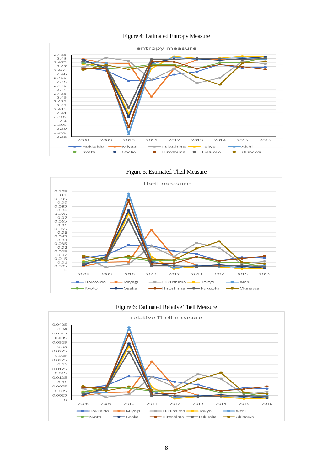## Figure 4: Estimated Entropy Measure



Figure 5: Estimated Theil Measure



## Figure 6: Estimated Relative Theil Measure

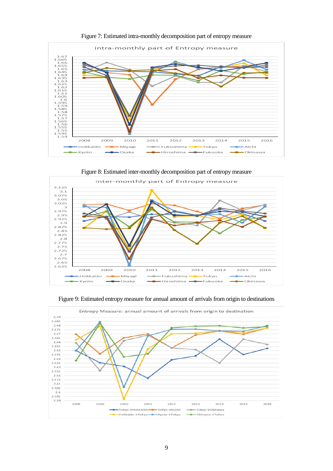

Figure 7: Estimated intra-monthly decomposition part of entropy measure

Figure 8: Estimated inter-monthly decomposition part of entropy measure inter-monthly part of Entropy measure 3.125  $3.1$ <br> $3.075$  $3.05$ 3.025  $\overline{a}$ 2.975 2.95 2.925  $2.9$ <br>2.875 2.85 2.825<br>2.8<br>2.775 2.775<br>2.725<br>2.725<br>2.675 2.65 2.625 2008 2009 2010 2011 2012 2013 2014 2015 2016  $\blacksquare$ Hokkaido - Miyagi  $\epsilon$ Eukushima -Tokyo  $Aichi$ Kyoto  $-$ Osaka Hiroshima --Fukuoka - Okinawa



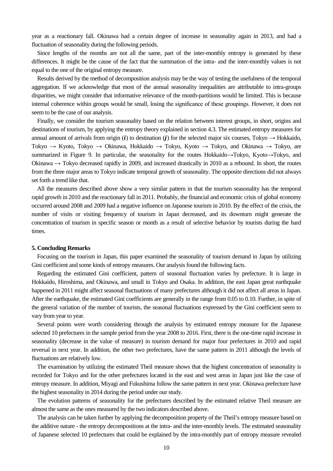year as a reactionary fall. Okinawa had a certain degree of increase in seasonality again in 2013, and had a fluctuation of seasonality during the following periods.

 Since lengths of the months are not all the same, part of the inter-monthly entropy is generated by these differences. It might be the cause of the fact that the summation of the intra- and the inter-monthly values is not equal to the one of the original entropy measure.

 Results derived by the method of decomposition analysis may be the way of testing the usefulness of the temporal aggregation. If we acknowledge that most of the annual seasonality inequalities are attributable to intra-groups disparities, we might consider that informative relevance of the month-partitions would be limited. This is because internal coherence within groups would be small, losing the significance of these groupings. However, it does not seem to be the case of our analysis.

 Finally, we consider the tourism seasonality based on the relation between interest groups, in short, origins and destinations of tourism, by applying the entropy theory explained in section 4.3. The estimated entropy measures for annual amount of arrivals from origin (i) to destination (j) for the selected major six courses, Tokyo  $\rightarrow$  Hokkaido, Tokyo  $\rightarrow$  Kyoto, Tokyo  $\rightarrow$  Okinawa, Hokkaido  $\rightarrow$  Tokyo, Kyoto  $\rightarrow$  Tokyo, and Okinawa  $\rightarrow$  Tokyo, are summarized in Figure 9. In particular, the seasonality for the routes Hokkaido→Tokyo, Kyoto→Tokyo, and Okinawa  $\rightarrow$  Tokyo decreased rapidly in 2009, and increased drastically in 2010 as a rebound. In short, the routes from the three major areas to Tokyo indicate temporal growth of seasonality. The opposite directions did not always set forth a trend like that.

All the measures described above show a very similar pattern in that the tourism seasonality has the temporal rapid growth in 2010 and the reactionary fall in 2011. Probably, the financial and economic crisis of global economy occurred around 2008 and 2009 had a negative influence on Japanese tourism in 2010. By the effect of the crisis, the number of visits or visiting frequency of tourism in Japan decreased, and its downturn might generate the concentration of tourism in specific season or month as a result of selective behavior by tourists during the hard times.

#### **5. Concluding Remarks**

 Focusing on the tourism in Japan, this paper examined the seasonality of tourism demand in Japan by utilizing Gini coefficient and some kinds of entropy measures. Our analysis found the following facts.

 Regarding the estimated Gini coefficient, pattern of seasonal fluctuation varies by prefecture. It is large in Hokkaido, Hiroshima, and Okinawa, and small in Tokyo and Osaka. In addition, the east Japan great earthquake happened in 2011 might affect seasonal fluctuations of many prefectures although it did not affect all areas in Japan. After the earthquake, the estimated Gini coefficients are generally in the range from 0.05 to 0.10. Further, in spite of the general variation of the number of tourists, the seasonal fluctuations expressed by the Gini coefficient seem to vary from year to year.

 Several points were worth considering through the analysis by estimated entropy measure for the Japanese selected 10 prefectures in the sample period from the year 2008 to 2016. First, there is the one-time rapid increase in seasonality (decrease in the value of measure) in tourism demand for major four prefectures in 2010 and rapid reversal in next year. In addition, the other two prefectures, have the same pattern in 2011 although the levels of fluctuations are relatively low.

 The examination by utilizing the estimated Theil measure shows that the highest concentration of seasonality is recorded for Tokyo and for the other prefectures located in the east and west areas in Japan just like the case of entropy measure. In addition, Miyagi and Fukushima follow the same pattern in next year. Okinawa prefecture have the highest seasonality in 2014 during the period under our study.

 The evolution patterns of seasonality for the prefectures described by the estimated relative Theil measure are almost the same as the ones measured by the two indicators described above.

 The analysis can be taken further by applying the decomposition property of the Theil's entropy measure based on the additive nature - the entropy decompositions at the intra- and the inter-monthly levels. The estimated seasonality of Japanese selected 10 prefectures that could be explained by the intra-monthly part of entropy measure revealed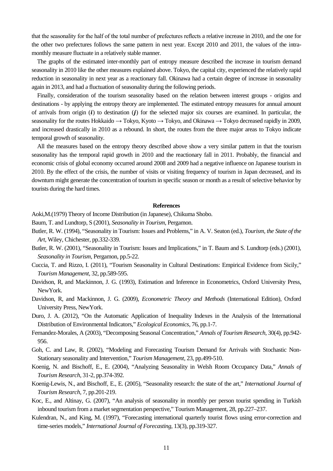that the seasonality for the half of the total number of prefectures reflects a relative increase in 2010, and the one for the other two prefectures follows the same pattern in next year. Except 2010 and 2011, the values of the intramonthly measure fluctuate in a relatively stable manner.

 The graphs of the estimated inter-monthly part of entropy measure described the increase in tourism demand seasonality in 2010 like the other measures explained above. Tokyo, the capital city, experienced the relatively rapid reduction in seasonality in next year as a reactionary fall. Okinawa had a certain degree of increase in seasonality again in 2013, and had a fluctuation of seasonality during the following periods.

 Finally, consideration of the tourism seasonality based on the relation between interest groups - origins and destinations - by applying the entropy theory are implemented. The estimated entropy measures for annual amount of arrivals from origin  $(i)$  to destination  $(j)$  for the selected major six courses are examined. In particular, the seasonality for the routes Hokkaido  $\rightarrow$  Tokyo, Kyoto  $\rightarrow$  Tokyo, and Okinawa  $\rightarrow$  Tokyo decreased rapidly in 2009, and increased drastically in 2010 as a rebound. In short, the routes from the three major areas to Tokyo indicate temporal growth of seasonality.

All the measures based on the entropy theory described above show a very similar pattern in that the tourism seasonality has the temporal rapid growth in 2010 and the reactionary fall in 2011. Probably, the financial and economic crisis of global economy occurred around 2008 and 2009 had a negative influence on Japanese tourism in 2010. By the effect of the crisis, the number of visits or visiting frequency of tourism in Japan decreased, and its downturn might generate the concentration of tourism in specific season or month as a result of selective behavior by tourists during the hard times.

#### **References**

Aoki,M.(1979) Theory of Income Distribution (in Japanese), Chikuma Shobo.

- Baum, T. and Lundtorp, S (2001), *Seasonality in Tourism*, Pergamon.
- Butler, R. W. (1994), "Seasonality in Tourism: Issues and Problems," in A. V. Seaton (ed.), *Tourism, the State of the Art*, Wiley, Chichester, pp.332-339.
- Butler, R. W. (2001), "Seasonality in Tourism: Issues and Implications," in T. Baum and S. Lundtorp (eds.) (2001), *Seasonality in Tourism*, Pergamon, pp.5-22.
- Cuccia, T. and Rizzo, I. (2011), "Tourism Seasonality in Cultural Destinations: Empirical Evidence from Sicily," *Tourism Management*, 32, pp.589-595.
- Davidson, R, and Mackinnon, J. G. (1993), Estimation and Inference in Econometrics, Oxford University Press, NewYork.
- Davidson, R, and Mackinnon, J. G. (2009), *Econometric Theory and Methods* (International Edition), Oxford University Press, NewYork.
- Duro, J. A. (2012), "On the Automatic Application of Inequality Indexes in the Analysis of the International Distribution of Environmental Indicators," *Ecological Economics*, 76, pp.1-7.
- Fernandez-Morales, A (2003), "Decomposing Seasonal Concentration," *Annals of Tourism Research*, 30(4), pp.942- 956.
- Goh, C. and Law, R. (2002), "Modeling and Forecasting Tourism Demand for Arrivals with Stochastic Non-Stationary seasonality and Intervention," *Tourism Management*, 23, pp.499-510.
- Koenig, N. and Bischoff, E., E. (2004), "Analyzing Seasonality in Welsh Room Occupancy Data," *Annals of Tourism Research*, 31-2, pp.374-392.
- Koenig-Lewis, N., and Bischoff, E., E. (2005), "Seasonality research: the state of the art," *International Journal of Tourism Research*, 7, pp.201-219.
- Koc, E., and Altinay, G. (2007), "An analysis of seasonality in monthly per person tourist spending in Turkish inbound tourism from a market segmentation perspective," Tourism Management, 28, pp.227–237.
- Kulendran, N., and King, M. (1997), "Forecasting international quarterly tourist flows using error-correction and time-series models," *International Journal of Forecasting*, 13(3), pp.319-327.